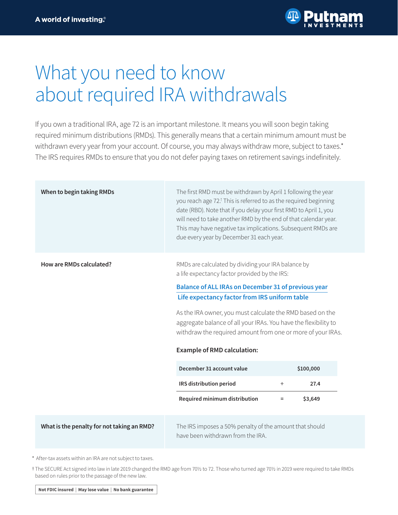

# What you need to know about required IRA withdrawals

If you own a traditional IRA, age 72 is an important milestone. It means you will soon begin taking required minimum distributions (RMDs). This generally means that a certain minimum amount must be withdrawn every year from your account. Of course, you may always withdraw more, subject to taxes.\* The IRS requires RMDs to ensure that you do not defer paying taxes on retirement savings indefinitely.

| When to begin taking RMDs                  | The first RMD must be withdrawn by April 1 following the year<br>you reach age 72. <sup>†</sup> This is referred to as the required beginning<br>date (RBD). Note that if you delay your first RMD to April 1, you<br>will need to take another RMD by the end of that calendar year.<br>This may have negative tax implications. Subsequent RMDs are<br>due every year by December 31 each year.                                                                                                                                                 |               |                              |  |
|--------------------------------------------|---------------------------------------------------------------------------------------------------------------------------------------------------------------------------------------------------------------------------------------------------------------------------------------------------------------------------------------------------------------------------------------------------------------------------------------------------------------------------------------------------------------------------------------------------|---------------|------------------------------|--|
| How are RMDs calculated?                   | RMDs are calculated by dividing your IRA balance by<br>a life expectancy factor provided by the IRS:<br><b>Balance of ALL IRAs on December 31 of previous year</b><br>Life expectancy factor from IRS uniform table<br>As the IRA owner, you must calculate the RMD based on the<br>aggregate balance of all your IRAs. You have the flexibility to<br>withdraw the required amount from one or more of your IRAs.<br><b>Example of RMD calculation:</b><br>December 31 account value<br>IRS distribution period<br>Required minimum distribution | ÷<br>$\equiv$ | \$100,000<br>27.4<br>\$3,649 |  |
| What is the penalty for not taking an RMD? | The IRS imposes a 50% penalty of the amount that should<br>have been withdrawn from the IRA.                                                                                                                                                                                                                                                                                                                                                                                                                                                      |               |                              |  |

After-tax assets within an IRA are not subject to taxes. 1

t The SECURE Act signed into law in late 2019 changed the RMD age from 70½ to 72. Those who turned age 70½ in 2019 were required to take RMDs based on rules prior to the passage of the new law.

Not FDIC insured | May lose value | No bank guarantee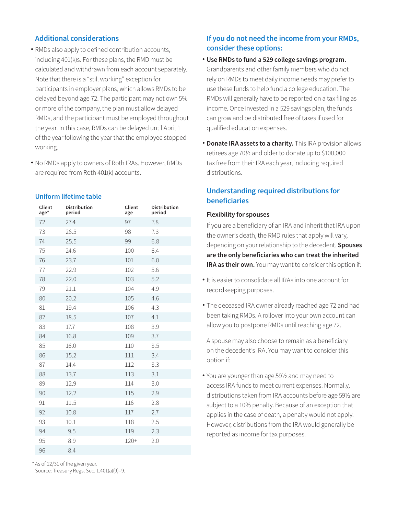### **Additional considerations**

- RMDs also apply to defined contribution accounts, including 401(k)s. For these plans, the RMD must be calculated and withdrawn from each account separately. Note that there is a "still working" exception for participants in employer plans, which allows RMDs to be delayed beyond age 72. The participant may not own 5% or more of the company, the plan must allow delayed RMDs, and the participant must be employed throughout the year. In this case, RMDs can be delayed until April 1 of the year following the year that the employee stopped working.
- No RMDs apply to owners of Roth IRAs. However, RMDs are required from Roth 401(k) accounts.

#### **Uniform lifetime table**

| Client<br>age* | <b>Distribution</b><br>period | Client<br>age | <b>Distribution</b><br>period |
|----------------|-------------------------------|---------------|-------------------------------|
| 72             | 27.4                          | 97            | 7.8                           |
| 73             | 26.5                          | 98            | 7.3                           |
| 74             | 25.5                          | 99            | 6.8                           |
| 75             | 24.6                          | 100           | 6.4                           |
| 76             | 23.7                          | 101           | 6.0                           |
| 77             | 22.9                          | 102           | 5.6                           |
| 78             | 22.0                          | 103           | 5.2                           |
| 79             | 21.1                          | 104           | 4.9                           |
| 80             | 20.2                          | 105           | 4.6                           |
| 81             | 19.4                          | 106           | 4.3                           |
| 82             | 18.5                          | 107           | 4.1                           |
| 83             | 17.7                          | 108           | 3.9                           |
| 84             | 16.8                          | 109           | 3.7                           |
| 85             | 16.0                          | 110           | 3.5                           |
| 86             | 15.2                          | 111           | 3.4                           |
| 87             | 14.4                          | 112           | 3.3                           |
| 88             | 13.7                          | 113           | 3.1                           |
| 89             | 12.9                          | 114           | 3.0                           |
| 90             | 12.2                          | 115           | 2.9                           |
| 91             | 11.5                          | 116           | 2.8                           |
| 92             | 10.8                          | 117           | 2.7                           |
| 93             | 10.1                          | 118           | 2.5                           |
| 94             | 9.5                           | 119           | 2.3                           |
| 95             | 8.9                           | $120+$        | 2.0                           |
| 96             | 8.4                           |               |                               |

\* As of 12/31 of the given year.

Source: Treasury Regs. Sec. 1.401(a)(9)–9.

# **If you do not need the income from your RMDs, consider these options:**

- **Use RMDs to fund a 529 college savings program.**  Grandparents and other family members who do not rely on RMDs to meet daily income needs may prefer to use these funds to help fund a college education. The RMDs will generally have to be reported on a tax filing as income. Once invested in a 529 savings plan, the funds can grow and be distributed free of taxes if used for qualified education expenses.
- **Donate IRA assets to a charity.** This IRA provision allows retirees age 70½ and older to donate up to \$100,000 tax free from their IRA each year, including required distributions.

## **Understanding required distributions for beneficiaries**

#### **Flexibility for spouses**

If you are a beneficiary of an IRA and inherit that IRA upon the owner's death, the RMD rules that apply will vary, depending on your relationship to the decedent. **Spouses are the only beneficiaries who can treat the inherited IRA as their own.** You may want to consider this option if:

- It is easier to consolidate all IRAs into one account for recordkeeping purposes.
- The deceased IRA owner already reached age 72 and had been taking RMDs. A rollover into your own account can allow you to postpone RMDs until reaching age 72.

A spouse may also choose to remain as a beneficiary on the decedent's IRA. You may want to consider this option if:

You are younger than age 59½ and may need to • access IRA funds to meet current expenses. Normally, distributions taken from IRA accounts before age 59½ are subject to a 10% penalty. Because of an exception that applies in the case of death, a penalty would not apply. However, distributions from the IRA would generally be reported as income for tax purposes.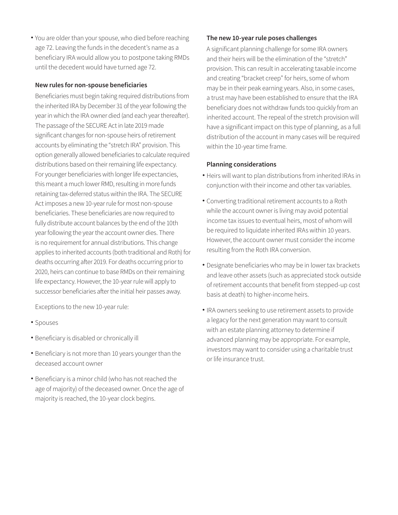You are older than your spouse, who died before reaching • age 72. Leaving the funds in the decedent's name as a beneficiary IRA would allow you to postpone taking RMDs until the decedent would have turned age 72.

#### **New rules for non-spouse beneficiaries**

Beneficiaries must begin taking required distributions from the inherited IRA by December 31 of the year following the year in which the IRA owner died (and each year thereafter). The passage of the SECURE Act in late 2019 made significant changes for non-spouse heirs of retirement accounts by eliminating the "stretch IRA" provision. This option generally allowed beneficiaries to calculate required distributions based on their remaining life expectancy. For younger beneficiaries with longer life expectancies, this meant a much lower RMD, resulting in more funds retaining tax-deferred status within the IRA. The SECURE Act imposes a new 10-year rule for most non-spouse beneficiaries. These beneficiaries are now required to fully distribute account balances by the end of the 10th year following the year the account owner dies. There is no requirement for annual distributions. This change applies to inherited accounts (both traditional and Roth) for deaths occurring after 2019. For deaths occurring prior to 2020, heirs can continue to base RMDs on their remaining life expectancy. However, the 10-year rule will apply to successor beneficiaries after the initial heir passes away.

Exceptions to the new 10-year rule:

- Spouses
- Beneficiary is disabled or chronically ill •
- Beneficiary is not more than 10 years younger than the deceased account owner
- Beneficiary is a minor child (who has not reached the age of majority) of the deceased owner. Once the age of majority is reached, the 10-year clock begins.

#### **The new 10-year rule poses challenges**

A significant planning challenge for some IRA owners and their heirs will be the elimination of the "stretch" provision. This can result in accelerating taxable income and creating "bracket creep" for heirs, some of whom may be in their peak earning years. Also, in some cases, a trust may have been established to ensure that the IRA beneficiary does not withdraw funds too quickly from an inherited account. The repeal of the stretch provision will have a significant impact on this type of planning, as a full distribution of the account in many cases will be required within the 10-year time frame.

#### **Planning considerations**

- Heirs will want to plan distributions from inherited IRAs in conjunction with their income and other tax variables.
- Converting traditional retirement accounts to a Roth while the account owner is living may avoid potential income tax issues to eventual heirs, most of whom will be required to liquidate inherited IRAs within 10 years. However, the account owner must consider the income resulting from the Roth IRA conversion.
- Designate beneficiaries who may be in lower tax brackets and leave other assets (such as appreciated stock outside of retirement accounts that benefit from stepped-up cost basis at death) to higher-income heirs.
- IRA owners seeking to use retirement assets to provide a legacy for the next generation may want to consult with an estate planning attorney to determine if advanced planning may be appropriate. For example, investors may want to consider using a charitable trust or life insurance trust.